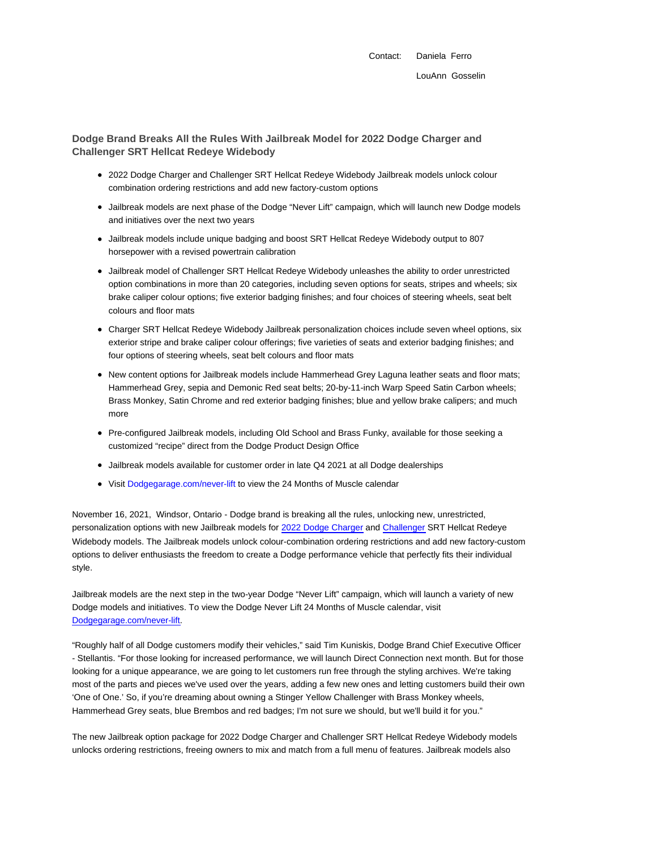## **Dodge Brand Breaks All the Rules With Jailbreak Model for 2022 Dodge Charger and Challenger SRT Hellcat Redeye Widebody**

- 2022 Dodge Charger and Challenger SRT Hellcat Redeye Widebody Jailbreak models unlock colour combination ordering restrictions and add new factory-custom options
- Jailbreak models are next phase of the Dodge "Never Lift" campaign, which will launch new Dodge models and initiatives over the next two years
- Jailbreak models include unique badging and boost SRT Hellcat Redeye Widebody output to 807 horsepower with a revised powertrain calibration
- Jailbreak model of Challenger SRT Hellcat Redeye Widebody unleashes the ability to order unrestricted option combinations in more than 20 categories, including seven options for seats, stripes and wheels; six brake caliper colour options; five exterior badging finishes; and four choices of steering wheels, seat belt colours and floor mats
- Charger SRT Hellcat Redeye Widebody Jailbreak personalization choices include seven wheel options, six exterior stripe and brake caliper colour offerings; five varieties of seats and exterior badging finishes; and four options of steering wheels, seat belt colours and floor mats
- New content options for Jailbreak models include Hammerhead Grey Laguna leather seats and floor mats; Hammerhead Grey, sepia and Demonic Red seat belts; 20-by-11-inch Warp Speed Satin Carbon wheels; Brass Monkey, Satin Chrome and red exterior badging finishes; blue and yellow brake calipers; and much more
- Pre-configured Jailbreak models, including Old School and Brass Funky, available for those seeking a customized "recipe" direct from the Dodge Product Design Office
- Jailbreak models available for customer order in late Q4 2021 at all Dodge dealerships
- Visit Dodgegarage.com/never-lift to view the 24 Months of Muscle calendar

November 16, 2021, Windsor, Ontario - Dodge brand is breaking all the rules, unlocking new, unrestricted, personalization options with new Jailbreak models for 2022 Dodge Charger and Challenger SRT Hellcat Redeye Widebody models. The Jailbreak models unlock colour-combination ordering restrictions and add new factory-custom options to deliver enthusiasts the freedom to create a Dodge performance vehicle that perfectly fits their individual style.

Jailbreak models are the next step in the two-year Dodge "Never Lift" campaign, which will launch a variety of new Dodge models and initiatives. To view the Dodge Never Lift 24 Months of Muscle calendar, visit Dodgegarage.com/never-lift.

"Roughly half of all Dodge customers modify their vehicles," said Tim Kuniskis, Dodge Brand Chief Executive Officer - Stellantis. "For those looking for increased performance, we will launch Direct Connection next month. But for those looking for a unique appearance, we are going to let customers run free through the styling archives. We're taking most of the parts and pieces we've used over the years, adding a few new ones and letting customers build their own 'One of One.' So, if you're dreaming about owning a Stinger Yellow Challenger with Brass Monkey wheels, Hammerhead Grey seats, blue Brembos and red badges; I'm not sure we should, but we'll build it for you."

The new Jailbreak option package for 2022 Dodge Charger and Challenger SRT Hellcat Redeye Widebody models unlocks ordering restrictions, freeing owners to mix and match from a full menu of features. Jailbreak models also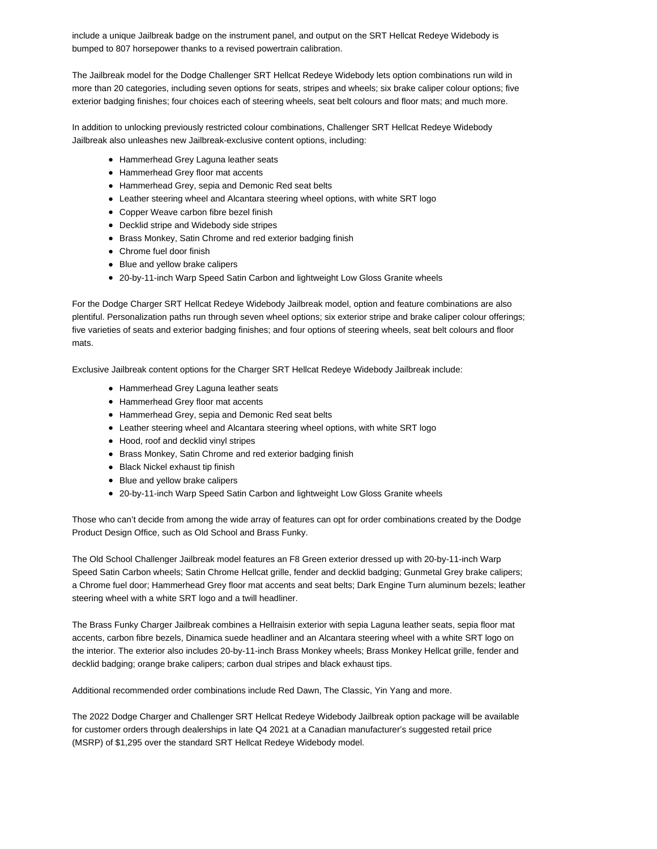include a unique Jailbreak badge on the instrument panel, and output on the SRT Hellcat Redeye Widebody is bumped to 807 horsepower thanks to a revised powertrain calibration.

The Jailbreak model for the Dodge Challenger SRT Hellcat Redeye Widebody lets option combinations run wild in more than 20 categories, including seven options for seats, stripes and wheels; six brake caliper colour options; five exterior badging finishes; four choices each of steering wheels, seat belt colours and floor mats; and much more.

In addition to unlocking previously restricted colour combinations, Challenger SRT Hellcat Redeye Widebody Jailbreak also unleashes new Jailbreak-exclusive content options, including:

- Hammerhead Grey Laguna leather seats
- Hammerhead Grey floor mat accents
- Hammerhead Grey, sepia and Demonic Red seat belts
- Leather steering wheel and Alcantara steering wheel options, with white SRT logo
- Copper Weave carbon fibre bezel finish
- Decklid stripe and Widebody side stripes
- Brass Monkey, Satin Chrome and red exterior badging finish
- Chrome fuel door finish
- Blue and yellow brake calipers
- 20-by-11-inch Warp Speed Satin Carbon and lightweight Low Gloss Granite wheels

For the Dodge Charger SRT Hellcat Redeye Widebody Jailbreak model, option and feature combinations are also plentiful. Personalization paths run through seven wheel options; six exterior stripe and brake caliper colour offerings; five varieties of seats and exterior badging finishes; and four options of steering wheels, seat belt colours and floor mats.

Exclusive Jailbreak content options for the Charger SRT Hellcat Redeye Widebody Jailbreak include:

- Hammerhead Grey Laguna leather seats
- Hammerhead Grey floor mat accents
- Hammerhead Grey, sepia and Demonic Red seat belts
- Leather steering wheel and Alcantara steering wheel options, with white SRT logo
- Hood, roof and decklid vinyl stripes
- Brass Monkey, Satin Chrome and red exterior badging finish
- Black Nickel exhaust tip finish
- Blue and yellow brake calipers
- 20-by-11-inch Warp Speed Satin Carbon and lightweight Low Gloss Granite wheels

Those who can't decide from among the wide array of features can opt for order combinations created by the Dodge Product Design Office, such as Old School and Brass Funky.

The Old School Challenger Jailbreak model features an F8 Green exterior dressed up with 20-by-11-inch Warp Speed Satin Carbon wheels; Satin Chrome Hellcat grille, fender and decklid badging; Gunmetal Grey brake calipers; a Chrome fuel door; Hammerhead Grey floor mat accents and seat belts; Dark Engine Turn aluminum bezels; leather steering wheel with a white SRT logo and a twill headliner.

The Brass Funky Charger Jailbreak combines a Hellraisin exterior with sepia Laguna leather seats, sepia floor mat accents, carbon fibre bezels, Dinamica suede headliner and an Alcantara steering wheel with a white SRT logo on the interior. The exterior also includes 20-by-11-inch Brass Monkey wheels; Brass Monkey Hellcat grille, fender and decklid badging; orange brake calipers; carbon dual stripes and black exhaust tips.

Additional recommended order combinations include Red Dawn, The Classic, Yin Yang and more.

The 2022 Dodge Charger and Challenger SRT Hellcat Redeye Widebody Jailbreak option package will be available for customer orders through dealerships in late Q4 2021 at a Canadian manufacturer's suggested retail price (MSRP) of \$1,295 over the standard SRT Hellcat Redeye Widebody model.